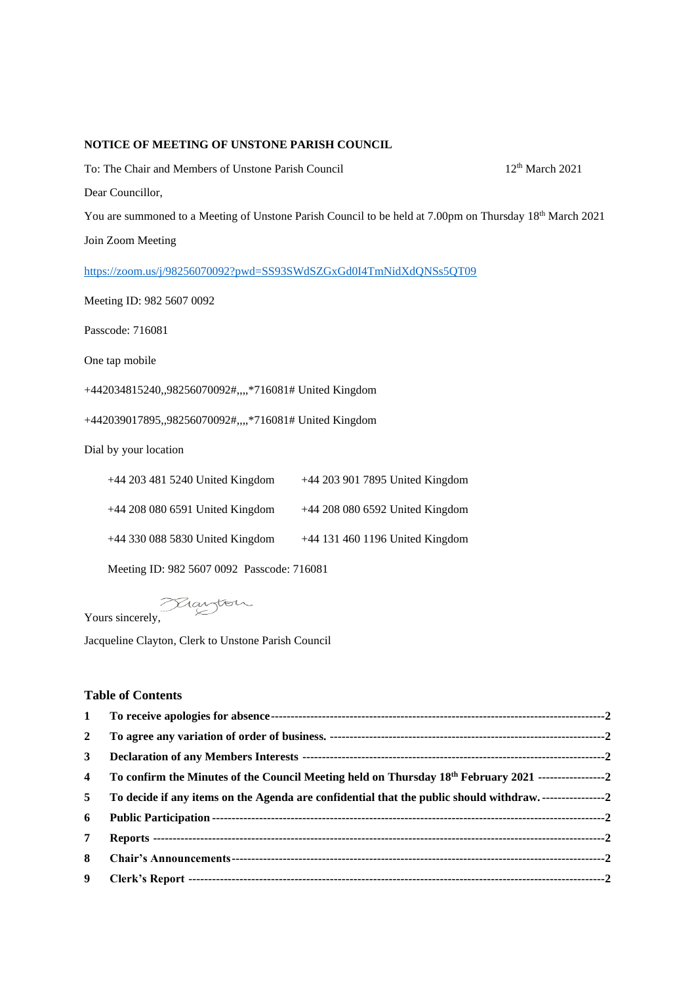## **NOTICE OF MEETING OF UNSTONE PARISH COUNCIL**

To: The Chair and Members of Unstone Parish Council 12<sup>th</sup> March 2021 Dear Councillor, You are summoned to a Meeting of Unstone Parish Council to be held at 7.00pm on Thursday 18<sup>th</sup> March 2021

Join Zoom Meeting

<https://zoom.us/j/98256070092?pwd=SS93SWdSZGxGd0I4TmNidXdQNSs5QT09>

Meeting ID: 982 5607 0092

Passcode: 716081

One tap mobile

+442034815240,,98256070092#,,,,\*716081# United Kingdom

+442039017895,,98256070092#,,,,\*716081# United Kingdom

Dial by your location

| +44 203 481 5240 United Kingdom   | +44 203 901 7895 United Kingdom |
|-----------------------------------|---------------------------------|
| +44 208 080 6591 United Kingdom   | +44 208 080 6592 United Kingdom |
| $+44$ 330 088 5830 United Kingdom | +44 131 460 1196 United Kingdom |

Meeting ID: 982 5607 0092 Passcode: 716081

Yours sincerely,

Jacqueline Clayton, Clerk to Unstone Parish Council

## **Table of Contents**

| $\mathbf{1}$            |                                                                                                                     |  |
|-------------------------|---------------------------------------------------------------------------------------------------------------------|--|
| $\overline{2}$          |                                                                                                                     |  |
| 3                       |                                                                                                                     |  |
| $\overline{\mathbf{4}}$ | To confirm the Minutes of the Council Meeting held on Thursday 18 <sup>th</sup> February 2021 --------------------2 |  |
| 5                       | To decide if any items on the Agenda are confidential that the public should withdraw                               |  |
| 6                       |                                                                                                                     |  |
| 7                       |                                                                                                                     |  |
| 8                       |                                                                                                                     |  |
| 9                       |                                                                                                                     |  |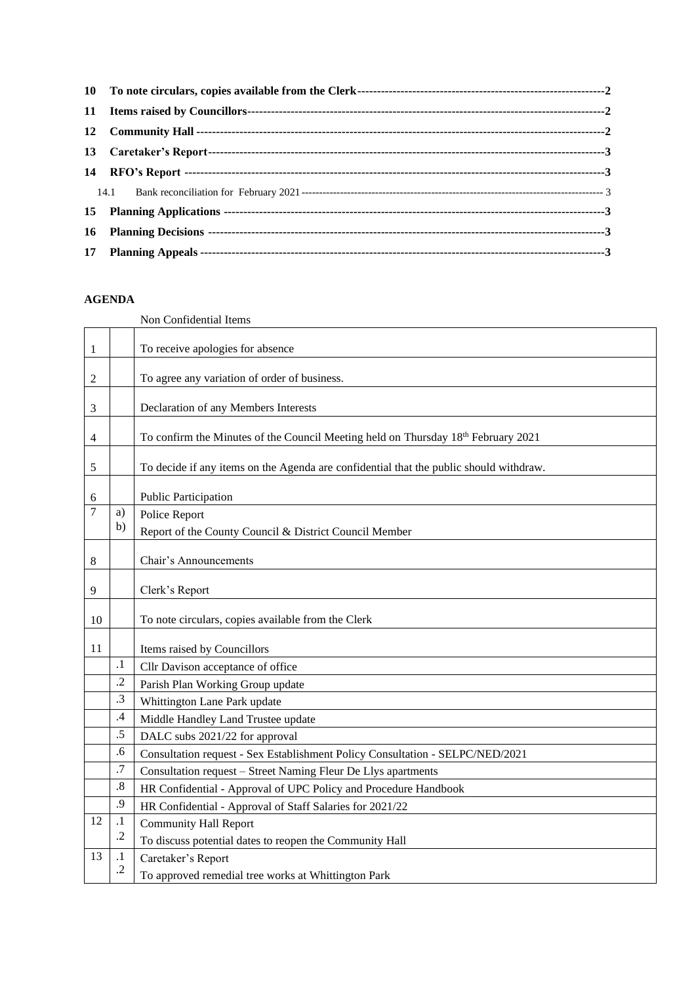## **AGENDA**

<span id="page-1-2"></span><span id="page-1-1"></span><span id="page-1-0"></span>Non Confidential Items

<span id="page-1-9"></span><span id="page-1-8"></span><span id="page-1-7"></span><span id="page-1-6"></span><span id="page-1-5"></span><span id="page-1-4"></span><span id="page-1-3"></span>

| 1  |                    | To receive apologies for absence                                                       |
|----|--------------------|----------------------------------------------------------------------------------------|
|    |                    |                                                                                        |
| 2  |                    | To agree any variation of order of business.                                           |
| 3  |                    | Declaration of any Members Interests                                                   |
| 4  |                    | To confirm the Minutes of the Council Meeting held on Thursday 18th February 2021      |
|    |                    |                                                                                        |
| 5  |                    | To decide if any items on the Agenda are confidential that the public should withdraw. |
| 6  |                    | Public Participation                                                                   |
| 7  | a)                 | Police Report                                                                          |
|    | b)                 | Report of the County Council & District Council Member                                 |
|    |                    |                                                                                        |
| 8  |                    | Chair's Announcements                                                                  |
| 9  |                    | Clerk's Report                                                                         |
| 10 |                    | To note circulars, copies available from the Clerk                                     |
|    |                    |                                                                                        |
| 11 |                    | Items raised by Councillors                                                            |
|    | $\cdot$            | Cllr Davison acceptance of office                                                      |
|    | $\cdot$            | Parish Plan Working Group update                                                       |
|    | $\cdot$ 3          | Whittington Lane Park update                                                           |
|    | .4                 | Middle Handley Land Trustee update                                                     |
|    | .5                 | DALC subs 2021/22 for approval                                                         |
|    | .6                 | Consultation request - Sex Establishment Policy Consultation - SELPC/NED/2021          |
|    | .7                 | Consultation request - Street Naming Fleur De Llys apartments                          |
|    | $\boldsymbol{.8}$  | HR Confidential - Approval of UPC Policy and Procedure Handbook                        |
|    | .9                 | HR Confidential - Approval of Staff Salaries for 2021/22                               |
| 12 | $\cdot$            | <b>Community Hall Report</b>                                                           |
|    | $\cdot$ .2         |                                                                                        |
|    |                    | To discuss potential dates to reopen the Community Hall                                |
| 13 | $\cdot$<br>$\cdot$ | Caretaker's Report                                                                     |